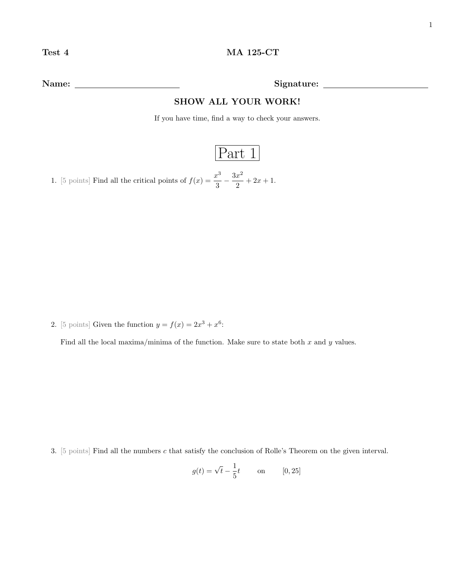Name: Signature:

## SHOW ALL YOUR WORK!

If you have time, find a way to check your answers.

## Part 1

1. [5 points] Find all the critical points of  $f(x) = \frac{x^3}{2}$  $rac{x^3}{3} - \frac{3x^2}{2}$  $\frac{x}{2} + 2x + 1.$ 

2. [5 points] Given the function  $y = f(x) = 2x^3 + x^6$ :

Find all the local maxima/minima of the function. Make sure to state both  $x$  and  $y$  values.

3. [5 points] Find all the numbers c that satisfy the conclusion of Rolle's Theorem on the given interval.

$$
g(t) = \sqrt{t} - \frac{1}{5}t \qquad \text{on} \qquad [0, 25]
$$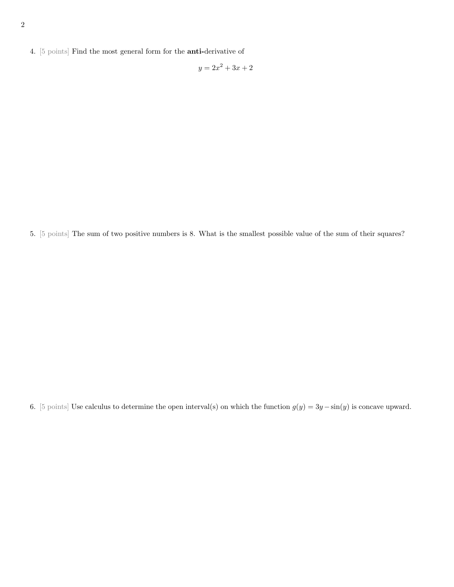4. [5 points] Find the most general form for the anti-derivative of

 $y = 2x^2 + 3x + 2$ 

5. [5 points] The sum of two positive numbers is 8. What is the smallest possible value of the sum of their squares?

6. [5 points] Use calculus to determine the open interval(s) on which the function  $g(y) = 3y - \sin(y)$  is concave upward.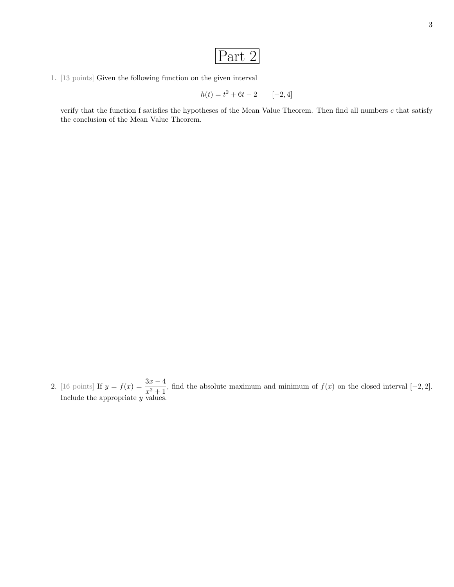$$
Part\ 2
$$

1. [13 points] Given the following function on the given interval

$$
h(t) = t^2 + 6t - 2 \qquad [-2, 4]
$$

verify that the function f satisfies the hypotheses of the Mean Value Theorem. Then find all numbers  $c$  that satisfy the conclusion of the Mean Value Theorem.

2. [16 points] If  $y = f(x) = \frac{3x-4}{x^2+1}$ , find the absolute maximum and minimum of  $f(x)$  on the closed interval [-2, 2]. Include the appropriate y values.